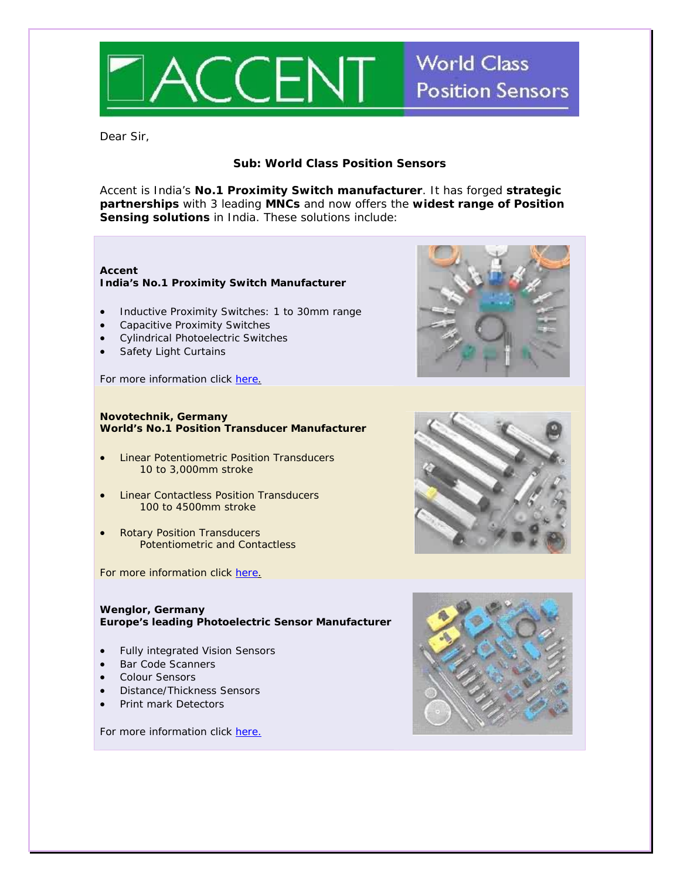

### Dear Sir,

## **Sub: World Class Position Sensors**

Accent is India's **No.1 Proximity Switch manufacturer**. It has forged **strategic partnerships** with 3 leading **MNCs** and now offers the **widest range of Position Sensing solutions** in India. These solutions include:

#### **Accent India's No.1 Proximity Switch Manufacturer**

- Inductive Proximity Switches: 1 to 30mm range
- Capacitive Proximity Switches
- Cylindrical Photoelectric Switches
- Safety Light Curtains

For more information click [here](http://www.accentsensors.com/).

#### **Novotechnik, Germany World's No.1 Position Transducer Manufacturer**

- Linear Potentiometric Position Transducers 10 to 3,000mm stroke
- Linear Contactless Position Transducers 100 to 4500mm stroke
- Rotary Position Transducers Potentiometric and Contactless

For more information click [here](http://www.accentsensors.com/novatech/products.htm).

#### **Wenglor, Germany Europe's leading Photoelectric Sensor Manufacturer**

- Fully integrated Vision Sensors
- Bar Code Scanners
- Colour Sensors
- Distance/Thickness Sensors
- Print mark Detectors

For more information click [here.](http://www.accentsensors.com/wenglor/products/index.htm)